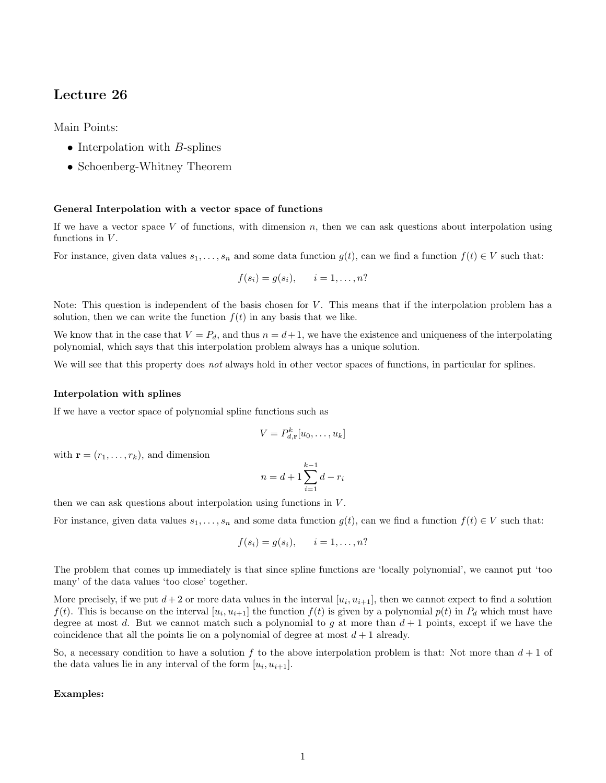# Lecture 26

Main Points:

- Interpolation with  $B$ -splines
- Schoenberg-Whitney Theorem

## General Interpolation with a vector space of functions

If we have a vector space V of functions, with dimension  $n$ , then we can ask questions about interpolation using functions in  $V$ .

For instance, given data values  $s_1, \ldots, s_n$  and some data function  $g(t)$ , can we find a function  $f(t) \in V$  such that:

$$
f(s_i) = g(s_i), \qquad i = 1, \dots, n?
$$

Note: This question is independent of the basis chosen for  $V$ . This means that if the interpolation problem has a solution, then we can write the function  $f(t)$  in any basis that we like.

We know that in the case that  $V = P_d$ , and thus  $n = d+1$ , we have the existence and uniqueness of the interpolating polynomial, which says that this interpolation problem always has a unique solution.

We will see that this property does not always hold in other vector spaces of functions, in particular for splines.

## Interpolation with splines

If we have a vector space of polynomial spline functions such as

$$
V = P_{d,\mathbf{r}}^k[u_0,\ldots,u_k]
$$

with  $\mathbf{r} = (r_1, \ldots, r_k)$ , and dimension

$$
n = d + 1 \sum_{i=1}^{k-1} d - r_i
$$

then we can ask questions about interpolation using functions in V .

For instance, given data values  $s_1, \ldots, s_n$  and some data function  $g(t)$ , can we find a function  $f(t) \in V$  such that:

$$
f(s_i) = g(s_i), \qquad i = 1, \ldots, n?
$$

The problem that comes up immediately is that since spline functions are 'locally polynomial', we cannot put 'too many' of the data values 'too close' together.

More precisely, if we put  $d+2$  or more data values in the interval  $[u_i, u_{i+1}]$ , then we cannot expect to find a solution  $f(t)$ . This is because on the interval  $[u_i, u_{i+1}]$  the function  $f(t)$  is given by a polynomial  $p(t)$  in  $P_d$  which must have degree at most d. But we cannot match such a polynomial to g at more than  $d+1$  points, except if we have the coincidence that all the points lie on a polynomial of degree at most  $d+1$  already.

So, a necessary condition to have a solution f to the above interpolation problem is that: Not more than  $d+1$  of the data values lie in any interval of the form  $[u_i, u_{i+1}]$ .

## Examples: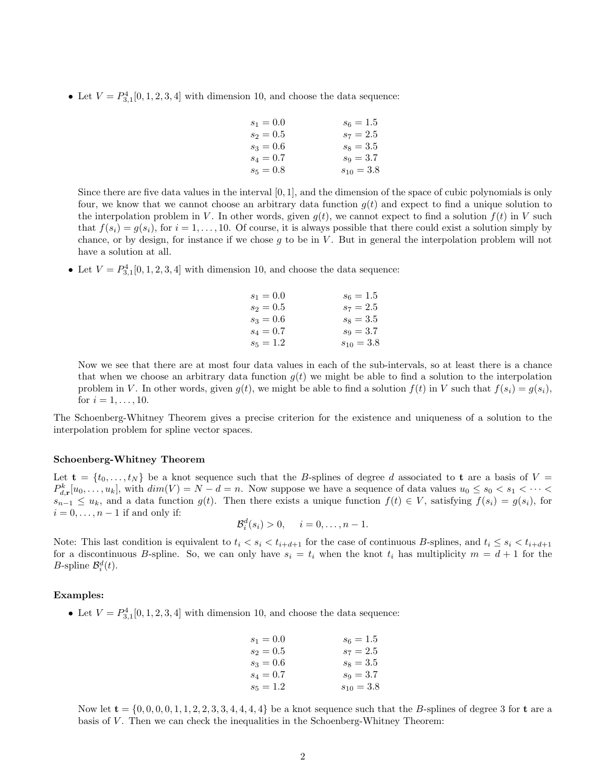• Let  $V = P_{3,1}^4[0, 1, 2, 3, 4]$  with dimension 10, and choose the data sequence:

| $s_1 = 0.0$ | $s_6 = 1.5$    |
|-------------|----------------|
| $s_2 = 0.5$ | $s_7 = 2.5$    |
| $s_3 = 0.6$ | $s_8 = 3.5$    |
| $s_4 = 0.7$ | $s_9 = 3.7$    |
| $s_5 = 0.8$ | $s_{10} = 3.8$ |

Since there are five data values in the interval  $[0, 1]$ , and the dimension of the space of cubic polynomials is only four, we know that we cannot choose an arbitrary data function  $g(t)$  and expect to find a unique solution to the interpolation problem in V. In other words, given  $q(t)$ , we cannot expect to find a solution  $f(t)$  in V such that  $f(s_i) = g(s_i)$ , for  $i = 1, ..., 10$ . Of course, it is always possible that there could exist a solution simply by chance, or by design, for instance if we chose  $g$  to be in  $V$ . But in general the interpolation problem will not have a solution at all.

• Let  $V = P_{3,1}^4[0,1,2,3,4]$  with dimension 10, and choose the data sequence:

| $s_1 = 0.0$ | $s_6 = 1.5$    |
|-------------|----------------|
| $s_2 = 0.5$ | $s_7 = 2.5$    |
| $s_3 = 0.6$ | $s_8 = 3.5$    |
| $s_4 = 0.7$ | $s_9 = 3.7$    |
| $s_5 = 1.2$ | $s_{10} = 3.8$ |

Now we see that there are at most four data values in each of the sub-intervals, so at least there is a chance that when we choose an arbitrary data function  $g(t)$  we might be able to find a solution to the interpolation problem in V. In other words, given  $g(t)$ , we might be able to find a solution  $f(t)$  in V such that  $f(s_i) = g(s_i)$ , for  $i = 1, ..., 10$ .

The Schoenberg-Whitney Theorem gives a precise criterion for the existence and uniqueness of a solution to the interpolation problem for spline vector spaces.

## Schoenberg-Whitney Theorem

Let  $\mathbf{t} = \{t_0, \ldots, t_N\}$  be a knot sequence such that the B-splines of degree d associated to t are a basis of  $V =$  $P_{d,r}^k[u_0,\ldots,u_k],$  with  $dim(V) = N - d = n$ . Now suppose we have a sequence of data values  $u_0 \leq s_0 < s_1 < \cdots <$  $s_{n-1} \le u_k$ , and a data function  $g(t)$ . Then there exists a unique function  $f(t) \in V$ , satisfying  $f(s_i) = g(s_i)$ , for  $i = 0, \ldots, n-1$  if and only if:

$$
\mathcal{B}_i^d(s_i) > 0, \quad i = 0, \dots, n-1.
$$

Note: This last condition is equivalent to  $t_i < s_i < t_{i+d+1}$  for the case of continuous B-splines, and  $t_i \leq s_i < t_{i+d+1}$ for a discontinuous B-spline. So, we can only have  $s_i = t_i$  when the knot  $t_i$  has multiplicity  $m = d + 1$  for the *B*-spline  $\mathcal{B}_i^d(t)$ .

## Examples:

• Let  $V = P_{3,1}^4[0,1,2,3,4]$  with dimension 10, and choose the data sequence:

| $s_1 = 0.0$ | $s_6 = 1.5$    |
|-------------|----------------|
| $s_2 = 0.5$ | $s_7 = 2.5$    |
| $s_3 = 0.6$ | $s_8 = 3.5$    |
| $s_4 = 0.7$ | $s_9 = 3.7$    |
| $s_5 = 1.2$ | $s_{10} = 3.8$ |

Now let  $t = \{0, 0, 0, 0, 1, 1, 2, 2, 3, 3, 4, 4, 4, 4\}$  be a knot sequence such that the B-splines of degree 3 for t are a basis of V. Then we can check the inequalities in the Schoenberg-Whitney Theorem: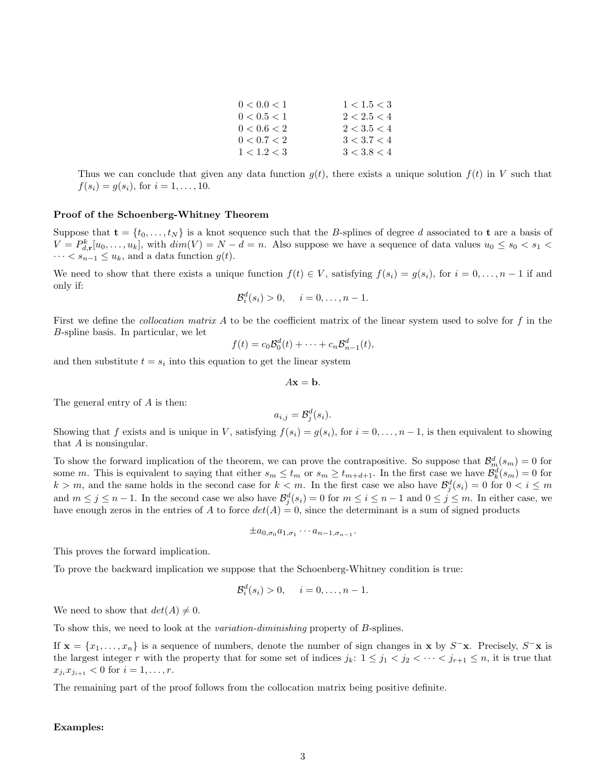| 1 < 1.5 < 3 |
|-------------|
| 2 < 2.5 < 4 |
| 2 < 3.5 < 4 |
| 3 < 3.7 < 4 |
| 3 < 3.8 < 4 |
|             |

Thus we can conclude that given any data function  $g(t)$ , there exists a unique solution  $f(t)$  in V such that  $f(s_i) = g(s_i)$ , for  $i = 1, ..., 10$ .

## Proof of the Schoenberg-Whitney Theorem

Suppose that  $\mathbf{t} = \{t_0, \ldots, t_N\}$  is a knot sequence such that the B-splines of degree d associated to **t** are a basis of  $V = P_{d,r}^k[u_0, \ldots, u_k]$ , with  $dim(V) = N - d = n$ . Also suppose we have a sequence of data values  $u_0 \le s_0 < s_1 <$  $\cdots < s_{n-1} \leq u_k$ , and a data function  $g(t)$ .

We need to show that there exists a unique function  $f(t) \in V$ , satisfying  $f(s_i) = g(s_i)$ , for  $i = 0, \ldots, n-1$  if and only if:

$$
\mathcal{B}_i^d(s_i) > 0, \quad i = 0, \dots, n-1.
$$

First we define the *collocation matrix A* to be the coefficient matrix of the linear system used to solve for  $f$  in the B-spline basis. In particular, we let

$$
f(t) = c_0 \mathcal{B}_0^d(t) + \cdots + c_n \mathcal{B}_{n-1}^d(t),
$$

and then substitute  $t = s_i$  into this equation to get the linear system

$$
A\mathbf{x} = \mathbf{b}.
$$

The general entry of A is then:

$$
a_{i,j} = \mathcal{B}_j^d(s_i).
$$

Showing that f exists and is unique in V, satisfying  $f(s_i) = g(s_i)$ , for  $i = 0, \ldots, n-1$ , is then equivalent to showing that A is nonsingular.

To show the forward implication of the theorem, we can prove the contrapositive. So suppose that  $\mathcal{B}_m^d(s_m) = 0$  for some m. This is equivalent to saying that either  $s_m \leq t_m$  or  $s_m \geq t_{m+d+1}$ . In the first case we have  $\mathcal{B}_k^d(s_m) = 0$  for  $k > m$ , and the same holds in the second case for  $k < m$ . In the first case we also have  $\mathcal{B}_j^d(s_i) = 0$  for  $0 < i \leq m$ and  $m \leq j \leq n-1$ . In the second case we also have  $\mathcal{B}_{j}^{d}(s_{i})=0$  for  $m \leq i \leq n-1$  and  $0 \leq j \leq m$ . In either case, we have enough zeros in the entries of A to force  $det(A) = 0$ , since the determinant is a sum of signed products

$$
\pm a_{0,\sigma_0}a_{1,\sigma_1}\cdots a_{n-1,\sigma_{n-1}}.
$$

This proves the forward implication.

To prove the backward implication we suppose that the Schoenberg-Whitney condition is true:

$$
\mathcal{B}_i^d(s_i) > 0, \quad i = 0, \dots, n-1.
$$

We need to show that  $det(A) \neq 0$ .

To show this, we need to look at the variation-diminishing property of B-splines.

If  $\mathbf{x} = \{x_1, \ldots, x_n\}$  is a sequence of numbers, denote the number of sign changes in  $\mathbf{x}$  by  $S^- \mathbf{x}$ . Precisely,  $S^- \mathbf{x}$  is the largest integer r with the property that for some set of indices  $j_k: 1 \leq j_1 < j_2 < \cdots < j_{r+1} \leq n$ , it is true that  $x_{j_i}x_{j_{i+1}} < 0$  for  $i = 1, \ldots, r$ .

The remaining part of the proof follows from the collocation matrix being positive definite.

## Examples: